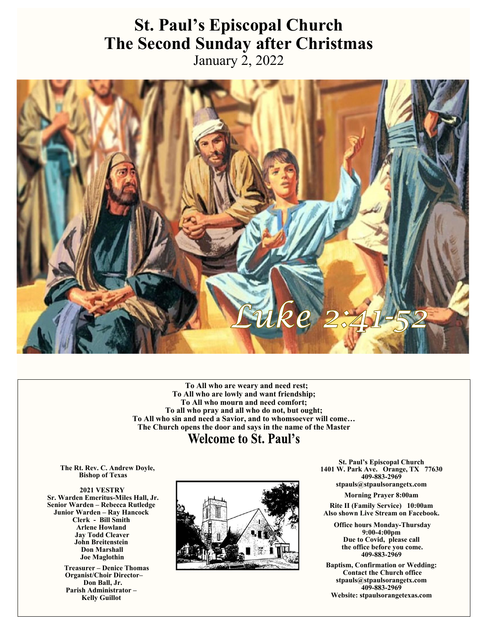# **St. Paul's Episcopal Church The Second Sunday after Christmas** January 2, 2022



 **To All who are weary and need rest; To All who are lowly and want friendship; To All who mourn and need comfort; To all who pray and all who do not, but ought; To All who sin and need a Savior, and to whomsoever will come… The Church opens the door and says in the name of the Master**

### **Welcome to St. Paul's**

 **The Rt. Rev. C. Andrew Doyle, Bishop of Texas** 

**2021 VESTRY Sr. Warden Emeritus-Miles Hall, Jr. Senior Warden – Rebecca Rutledge Junior Warden – Ray Hancock Clerk - Bill Smith Arlene Howland Jay Todd Cleaver John Breitenstein Don Marshall Joe Maglothin** 

> **Treasurer – Denice Thomas Organist/Choir Director– Don Ball, Jr. Parish Administrator – Kelly Guillot**



**St. Paul's Episcopal Church 1401 W. Park Ave. Orange, TX 77630 409-883-2969 stpauls@stpaulsorangetx.com**

**Morning Prayer 8:00am**

**Rite II (Family Service) 10:00am Also shown Live Stream on Facebook.**

 **Office hours Monday-Thursday 9:00-4:00pm Due to Covid, please call the office before you come. 409-883-2969**

**Baptism, Confirmation or Wedding: Contact the Church office stpauls@stpaulsorangetx.com 409-883-2969 Website: stpaulsorangetexas.com**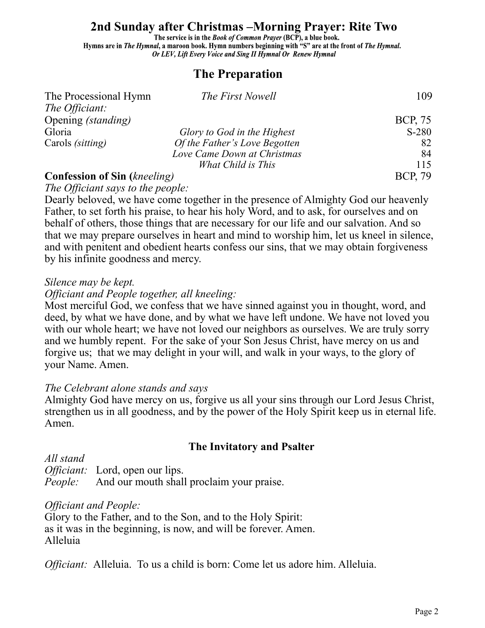# **2nd Sunday after Christmas –Morning Prayer: Rite Two**<br>The service is in the *Book of Common Prayer* (BCP), a blue book.

Hymns are in *The Hymnal*, a maroon book. Hymn numbers beginning with "S" are at the front of *The Hymnal*. Or LEV, Lift Every Voice and Sing II Hymnal Or Renew Hymnal

# **The Preparation**

| The Processional Hymn   | The First Nowell              | 109            |
|-------------------------|-------------------------------|----------------|
| The Officiant:          |                               |                |
| Opening (standing)      |                               | <b>BCP, 75</b> |
| Gloria                  | Glory to God in the Highest   | S-280          |
| Carols <i>(sitting)</i> | Of the Father's Love Begotten | 82             |
|                         | Love Came Down at Christmas   | 84             |
|                         | What Child is This            | 115            |

### **Confession of Sin** (*kneeling*) **BCP, 79**

*The Officiant says to the people:*

Dearly beloved, we have come together in the presence of Almighty God our heavenly Father, to set forth his praise, to hear his holy Word, and to ask, for ourselves and on behalf of others, those things that are necessary for our life and our salvation. And so that we may prepare ourselves in heart and mind to worship him, let us kneel in silence, and with penitent and obedient hearts confess our sins, that we may obtain forgiveness by his infinite goodness and mercy.

### *Silence may be kept.*

### *Officiant and People together, all kneeling:*

Most merciful God, we confess that we have sinned against you in thought, word, and deed, by what we have done, and by what we have left undone. We have not loved you with our whole heart; we have not loved our neighbors as ourselves. We are truly sorry and we humbly repent. For the sake of your Son Jesus Christ, have mercy on us and forgive us; that we may delight in your will, and walk in your ways, to the glory of your Name. Amen.

### *The Celebrant alone stands and says*

Almighty God have mercy on us, forgive us all your sins through our Lord Jesus Christ, strengthen us in all goodness, and by the power of the Holy Spirit keep us in eternal life. Amen.

### **The Invitatory and Psalter**

### *All stand*

*Officiant:* Lord, open our lips.

*People:* And our mouth shall proclaim your praise.

### *Officiant and People:*

Glory to the Father, and to the Son, and to the Holy Spirit: as it was in the beginning, is now, and will be forever. Amen. Alleluia

*Officiant:* Alleluia. To us a child is born: Come let us adore him. Alleluia.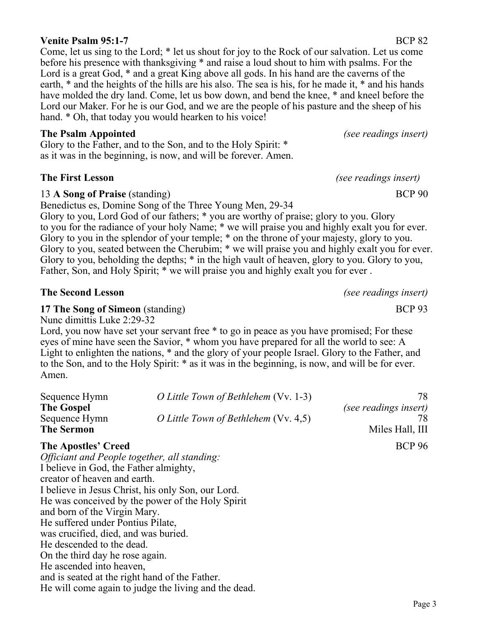### **Venite Psalm 95:1-7** BCP 82

Come, let us sing to the Lord; \* let us shout for joy to the Rock of our salvation. Let us come before his presence with thanksgiving \* and raise a loud shout to him with psalms. For the Lord is a great God, \* and a great King above all gods. In his hand are the caverns of the earth, \* and the heights of the hills are his also. The sea is his, for he made it, \* and his hands have molded the dry land. Come, let us bow down, and bend the knee, \* and kneel before the Lord our Maker. For he is our God, and we are the people of his pasture and the sheep of his hand. \* Oh, that today you would hearken to his voice!

### **The Psalm Appointed** *(see readings insert)*

Glory to the Father, and to the Son, and to the Holy Spirit: \* as it was in the beginning, is now, and will be forever. Amen.

### **The First Lesson** *(see readings insert)*

13 **A Song of Praise** (standing) BCP 90

Benedictus es, Domine Song of the Three Young Men, 29-34

Glory to you, Lord God of our fathers; \* you are worthy of praise; glory to you. Glory to you for the radiance of your holy Name; \* we will praise you and highly exalt you for ever. Glory to you in the splendor of your temple; \* on the throne of your majesty, glory to you. Glory to you, seated between the Cherubim; \* we will praise you and highly exalt you for ever. Glory to you, beholding the depths; \* in the high vault of heaven, glory to you. Glory to you, Father, Son, and Holy Spirit; \* we will praise you and highly exalt you for ever .

# **The Second Lesson** *(see readings insert)*

**17 The Song of Simeon** (standing) BCP 93

Nunc dimittis Luke 2:29-32

Lord, you now have set your servant free \* to go in peace as you have promised; For these eyes of mine have seen the Savior, \* whom you have prepared for all the world to see: A Light to enlighten the nations, \* and the glory of your people Israel. Glory to the Father, and to the Son, and to the Holy Spirit: \* as it was in the beginning, is now, and will be for ever. Amen.

| Sequence Hymn     | O Little Town of Bethlehem (Vv. 1-3)    |                       |
|-------------------|-----------------------------------------|-----------------------|
| <b>The Gospel</b> |                                         | (see readings insert) |
| Sequence Hymn     | O Little Town of Bethlehem $(Vv. 4, 5)$ |                       |
| <b>The Sermon</b> |                                         | Miles Hall, III       |
|                   |                                         |                       |

### **The Apostles' Creed** BCP 96

*Officiant and People together, all standing:* I believe in God, the Father almighty, creator of heaven and earth. I believe in Jesus Christ, his only Son, our Lord. He was conceived by the power of the Holy Spirit and born of the Virgin Mary. He suffered under Pontius Pilate, was crucified, died, and was buried. He descended to the dead. On the third day he rose again. He ascended into heaven, and is seated at the right hand of the Father. He will come again to judge the living and the dead.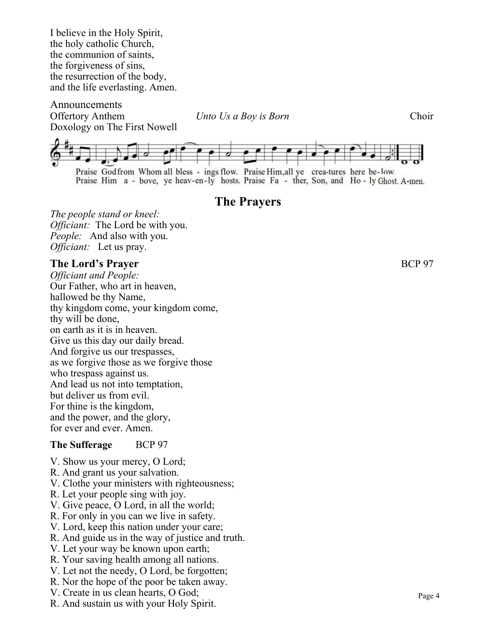I believe in the Holy Spirit, the holy catholic Church, the communion of saints, the forgiveness of sins, the resurrection of the body, and the life everlasting. Amen.

Announcements Offertory Anthem *Unto Us a Boy is Born* Choir Doxology on The First Nowell



### **The Prayers**

*The people stand or kneel: Officiant:* The Lord be with you. *People:* And also with you. *Officiant:* Let us pray.

### **The Lord b SPrayer BCP** 97

*Officiant and People:* Our Father, who art in heaven, hallowed be thy Name, thy kingdom come, your kingdom come, thy will be done, on earth as it is in heaven. Give us this day our daily bread. And forgive us our trespasses, as we forgive those as we forgive those who trespass against us. And lead us not into temptation, but deliver us from evil. For thine is the kingdom, and the power, and the glory, for ever and ever. Amen.

### **The Sufferage** BCP 97

V. Show us your mercy, O Lord; R. And grant us your salvation. V. Clothe your ministers with righteousness; R. Let your people sing with joy. V. Give peace, O Lord, in all the world; R. For only in you can we live in safety. V. Lord, keep this nation under your care; R. And guide us in the way of justice and truth. V. Let your way be known upon earth; R. Your saving health among all nations. V. Let not the needy, O Lord, be forgotten; R. Nor the hope of the poor be taken away. V. Create in us clean hearts, O God; R. And sustain us with your Holy Spirit.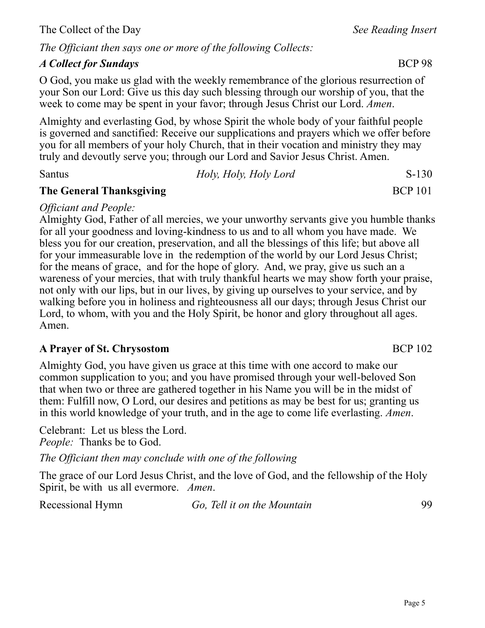# The Collect of the Day *See Reading Insert*

*The Officiant then says one or more of the following Collects:*

# *A Collect for Sundays* BCP 98

O God, you make us glad with the weekly remembrance of the glorious resurrection of your Son our Lord: Give us this day such blessing through our worship of you, that the week to come may be spent in your favor; through Jesus Christ our Lord. *Amen*.

Almighty and everlasting God, by whose Spirit the whole body of your faithful people is governed and sanctified: Receive our supplications and prayers which we offer before you for all members of your holy Church, that in their vocation and ministry they may truly and devoutly serve you; through our Lord and Savior Jesus Christ. Amen.

*Holy, Holy, Holy Lord* S-130

### **The General Thanksgiving BCP 101**

### *Officiant and People:*

Almighty God, Father of all mercies, we your unworthy servants give you humble thanks for all your goodness and loving-kindness to us and to all whom you have made. We bless you for our creation, preservation, and all the blessings of this life; but above all for your immeasurable love in the redemption of the world by our Lord Jesus Christ; for the means of grace, and for the hope of glory. And, we pray, give us such an a wareness of your mercies, that with truly thankful hearts we may show forth your praise, not only with our lips, but in our lives, by giving up ourselves to your service, and by walking before you in holiness and righteousness all our days; through Jesus Christ our Lord, to whom, with you and the Holy Spirit, be honor and glory throughout all ages. Amen.

### **A Prayer of St. Chrysostom** BCP 102

Almighty God, you have given us grace at this time with one accord to make our common supplication to you; and you have promised through your well-beloved Son that when two or three are gathered together in his Name you will be in the midst of them: Fulfill now, O Lord, our desires and petitions as may be best for us; granting us in this world knowledge of your truth, and in the age to come life everlasting. *Amen*.

Celebrant: Let us bless the Lord. *People:* Thanks be to God.

*The Officiant then may conclude with one of the following*

The grace of our Lord Jesus Christ, and the love of God, and the fellowship of the Holy Spirit, be with us all evermore. *Amen*.

### Recessional Hymn *Go, Tell it on the Mountain* 99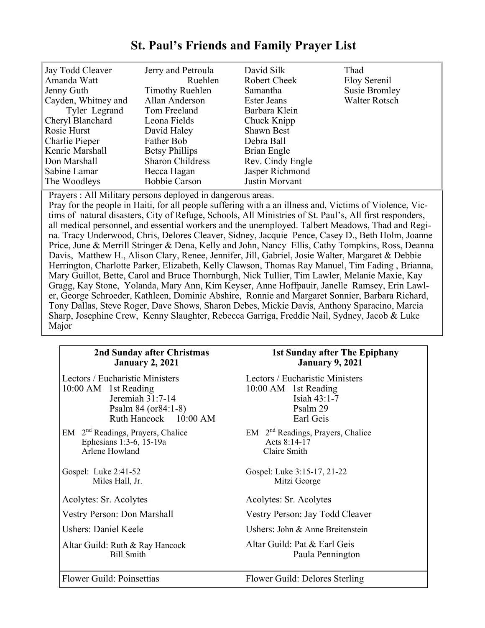| Jay Todd Cleaver<br>Amanda Watt<br>Jenny Guth<br>Cayden, Whitney and<br>Tyler Legrand<br>Cheryl Blanchard<br>Rosie Hurst | Jerry and Petroula<br>Ruehlen<br><b>Timothy Ruehlen</b><br>Allan Anderson<br>Tom Freeland<br>Leona Fields<br>David Haley | David Silk<br>Robert Cheek<br>Samantha<br>Ester Jeans<br>Barbara Klein<br>Chuck Knipp<br>Shawn Best | Thad<br>Eloy Serenil<br><b>Susie Bromley</b><br><b>Walter Rotsch</b> |
|--------------------------------------------------------------------------------------------------------------------------|--------------------------------------------------------------------------------------------------------------------------|-----------------------------------------------------------------------------------------------------|----------------------------------------------------------------------|
| Charlie Pieper                                                                                                           | Father Bob                                                                                                               | Debra Ball                                                                                          |                                                                      |
| Kenric Marshall                                                                                                          | <b>Betsy Phillips</b>                                                                                                    | Brian Engle                                                                                         |                                                                      |
| Don Marshall                                                                                                             | <b>Sharon Childress</b>                                                                                                  | Rev. Cindy Engle                                                                                    |                                                                      |
| Sabine Lamar                                                                                                             | Becca Hagan                                                                                                              | Jasper Richmond                                                                                     |                                                                      |
| The Woodleys                                                                                                             | <b>Bobbie Carson</b>                                                                                                     | Justin Morvant                                                                                      |                                                                      |

# **St. Paul's Friends and Family Prayer List**

Prayers : All Military persons deployed in dangerous areas.

Pray for the people in Haiti, for all people suffering with a an illness and, Victims of Violence, Victims of natural disasters, City of Refuge, Schools, All Ministries of St. Paul's, All first responders, all medical personnel, and essential workers and the unemployed. Talbert Meadows, Thad and Regina. Tracy Underwood, Chris, Delores Cleaver, Sidney, Jacquie Pence, Casey D., Beth Holm, Joanne Price, June & Merrill Stringer & Dena, Kelly and John, Nancy Ellis, Cathy Tompkins, Ross, Deanna Davis, Matthew H., Alison Clary, Renee, Jennifer, Jill, Gabriel, Josie Walter, Margaret & Debbie Herrington, Charlotte Parker, Elizabeth, Kelly Clawson, Thomas Ray Manuel, Tim Fading , Brianna, Mary Guillot, Bette, Carol and Bruce Thornburgh, Nick Tullier, Tim Lawler, Melanie Maxie, Kay Gragg, Kay Stone, Yolanda, Mary Ann, Kim Keyser, Anne Hoffpauir, Janelle Ramsey, Erin Lawler, George Schroeder, Kathleen, Dominic Abshire, Ronnie and Margaret Sonnier, Barbara Richard, Tony Dallas, Steve Roger, Dave Shows, Sharon Debes, Mickie Davis, Anthony Sparacino, Marcia Sharp, Josephine Crew, Kenny Slaughter, Rebecca Garriga, Freddie Nail, Sydney, Jacob & Luke Major

| 2nd Sunday after Christmas |
|----------------------------|
| <b>January 2, 2021</b>     |

| Lectors / Eucharistic Ministers |  |
|---------------------------------|--|
| 10:00 AM 1st Reading            |  |
| Jeremiah $31:7-14$              |  |
| Psalm $84$ (or $84:1-8$ )       |  |
| Ruth Hancock 10:00 AM           |  |

- EM  $2<sup>nd</sup>$  Readings, Prayers, Chalice Ephesians 1:3-6, 15-19a Arlene Howland
- Gospel: Luke 2:41-52 Miles Hall, Jr.

Vestry Person: Don Marshall

Ushers: Daniel Keele

Altar Guild: Ruth & Ray Hancock Bill Smith

### **1st Sunday after The Epiphany January 9, 2021**

- Lectors / Eucharistic Ministers 10:00 AM 1st Reading Isiah 43:1-7 Psalm 29 Earl Geis
- EM 2<sup>nd</sup> Readings, Prayers, Chalice Acts 8:14-17 Claire Smith
- Gospel: Luke 3:15-17, 21-22 Mitzi George
- Acolytes: Sr. Acolytes Acolytes: Sr. Acolytes: Sr. Acolytes
	- Vestry Person: Jay Todd Cleaver
	- Ushers: John & Anne Breitenstein

Altar Guild: Pat & Earl Geis Paula Pennington

Flower Guild: Poinsettias Flower Guild: Delores Sterling